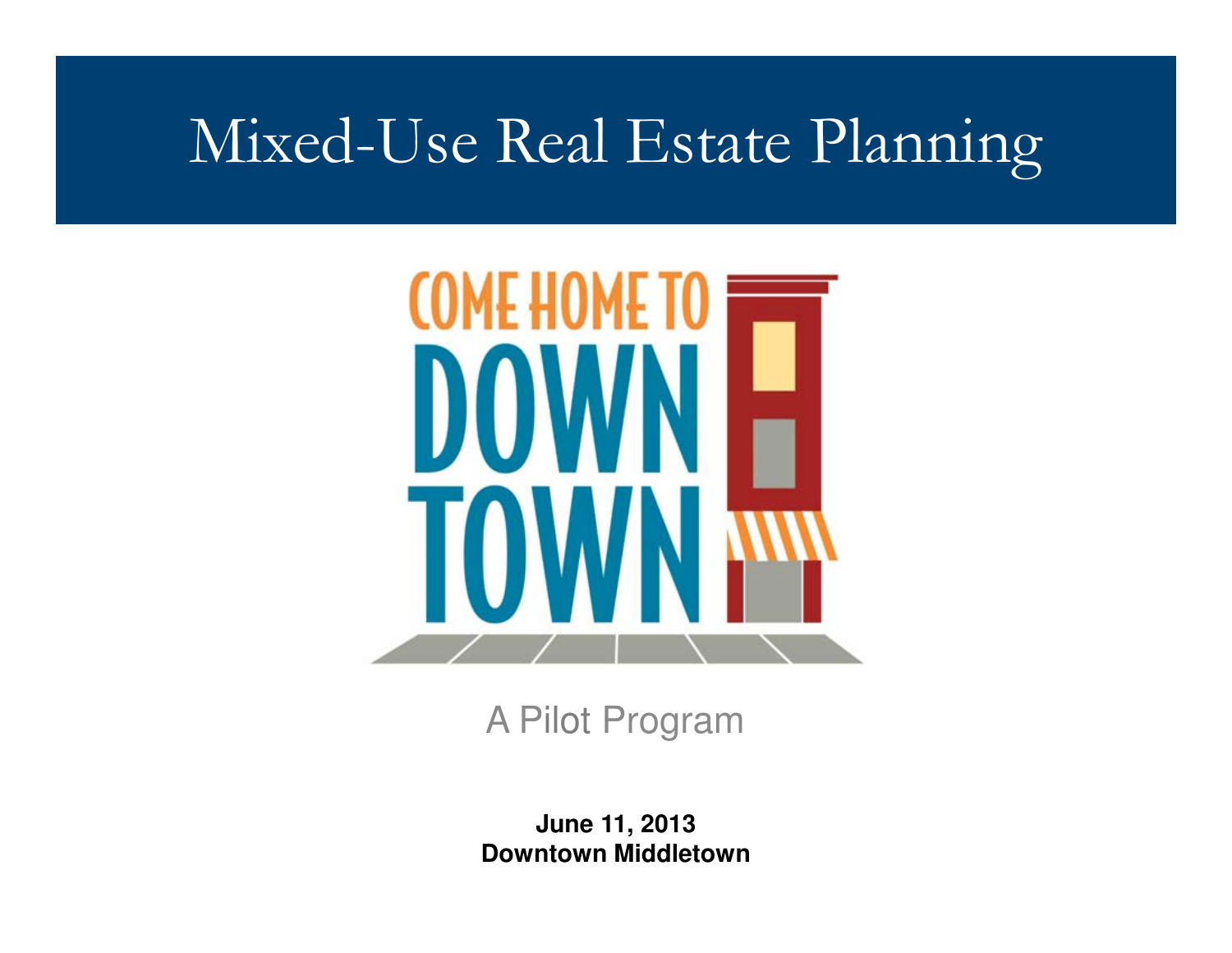#### Mixed-Use Real Estate Planning



A Pilot Program

**June 11, 2013Downtown Middletown**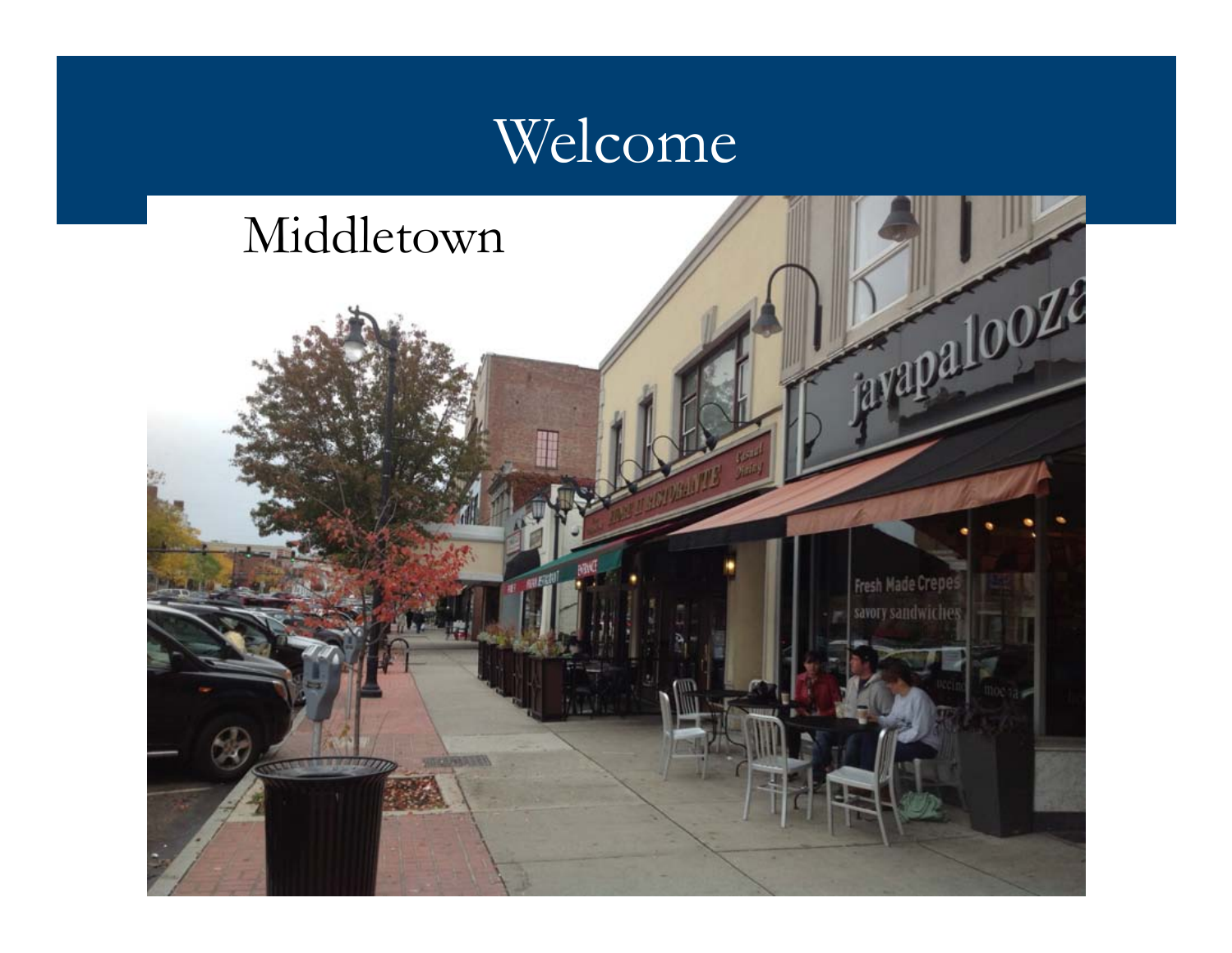#### Welcome

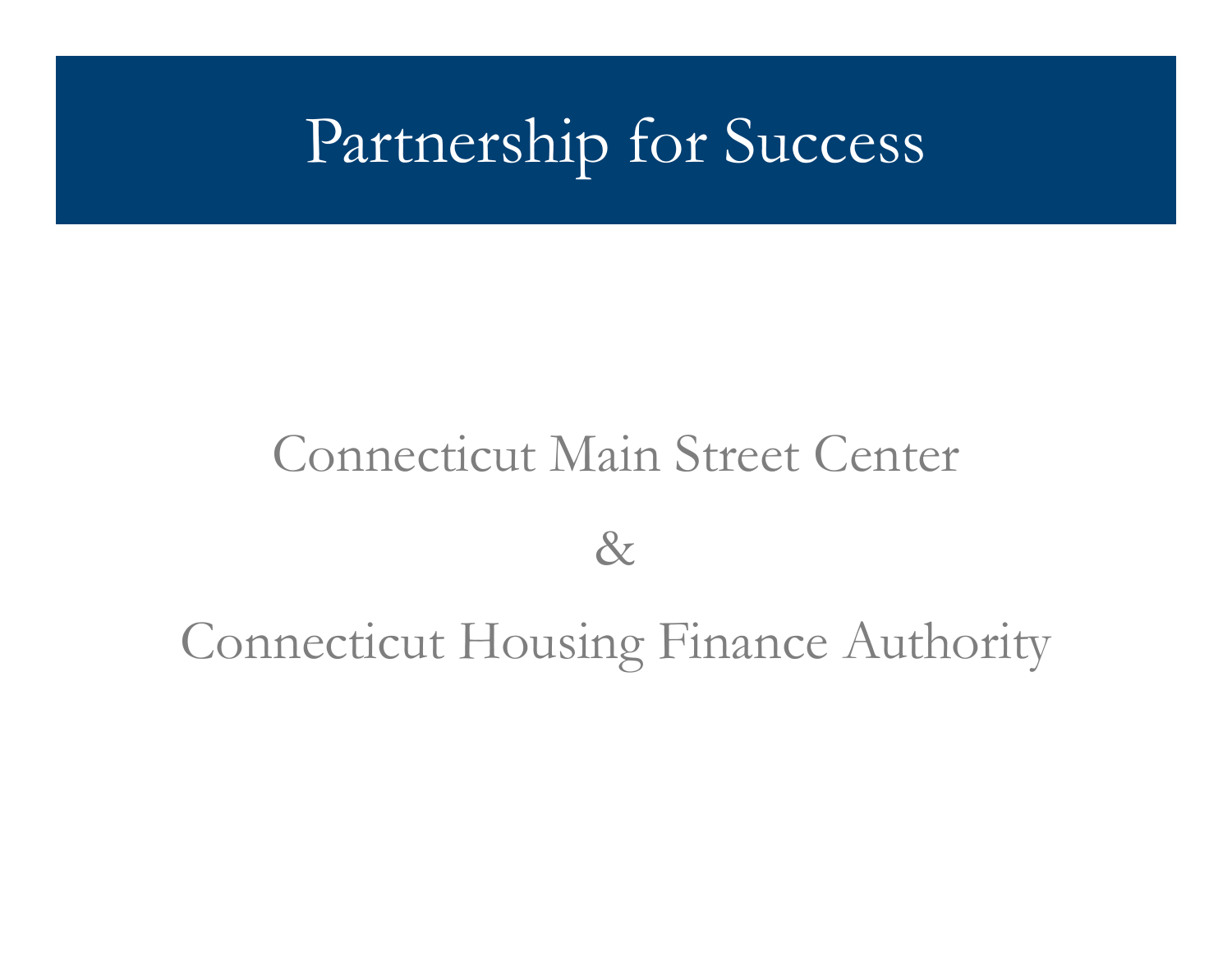### Partnership for Success

#### Connecticut Main Street Center

&

#### Connecticut Housing Finance Authority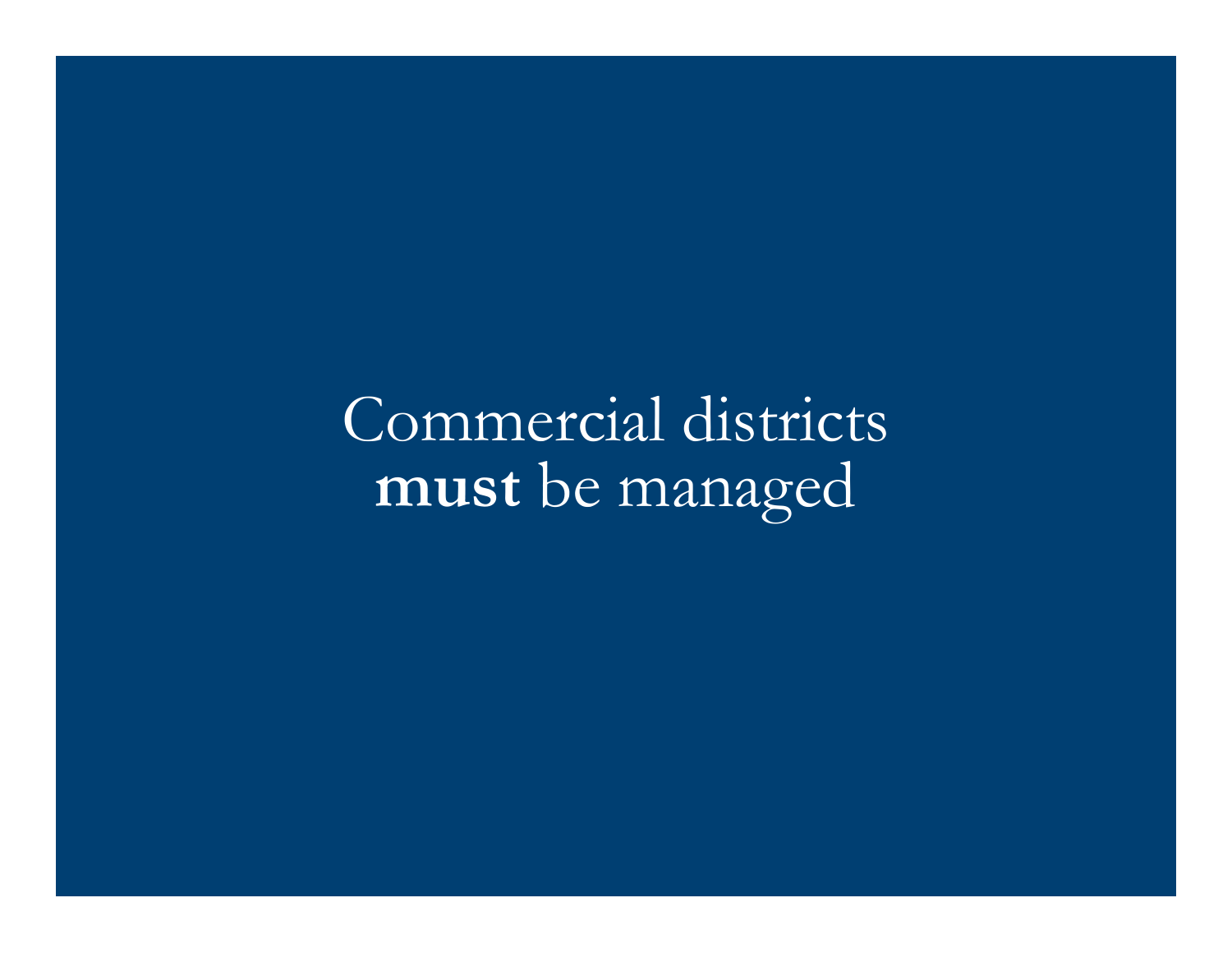Commercial districts must be managed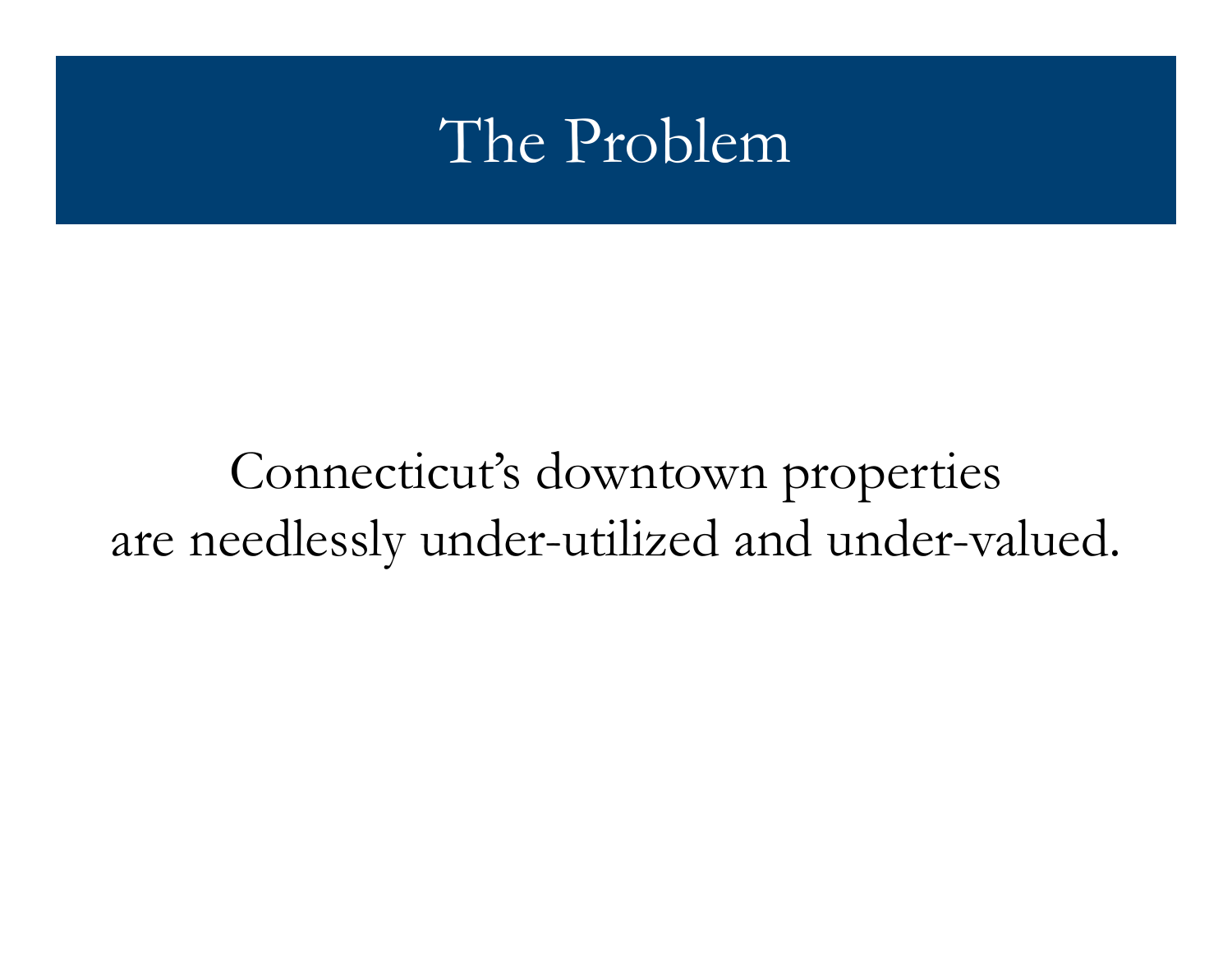#### The Problem

#### Connecticut's downtown properties are needlessly under-utilized and under-valued.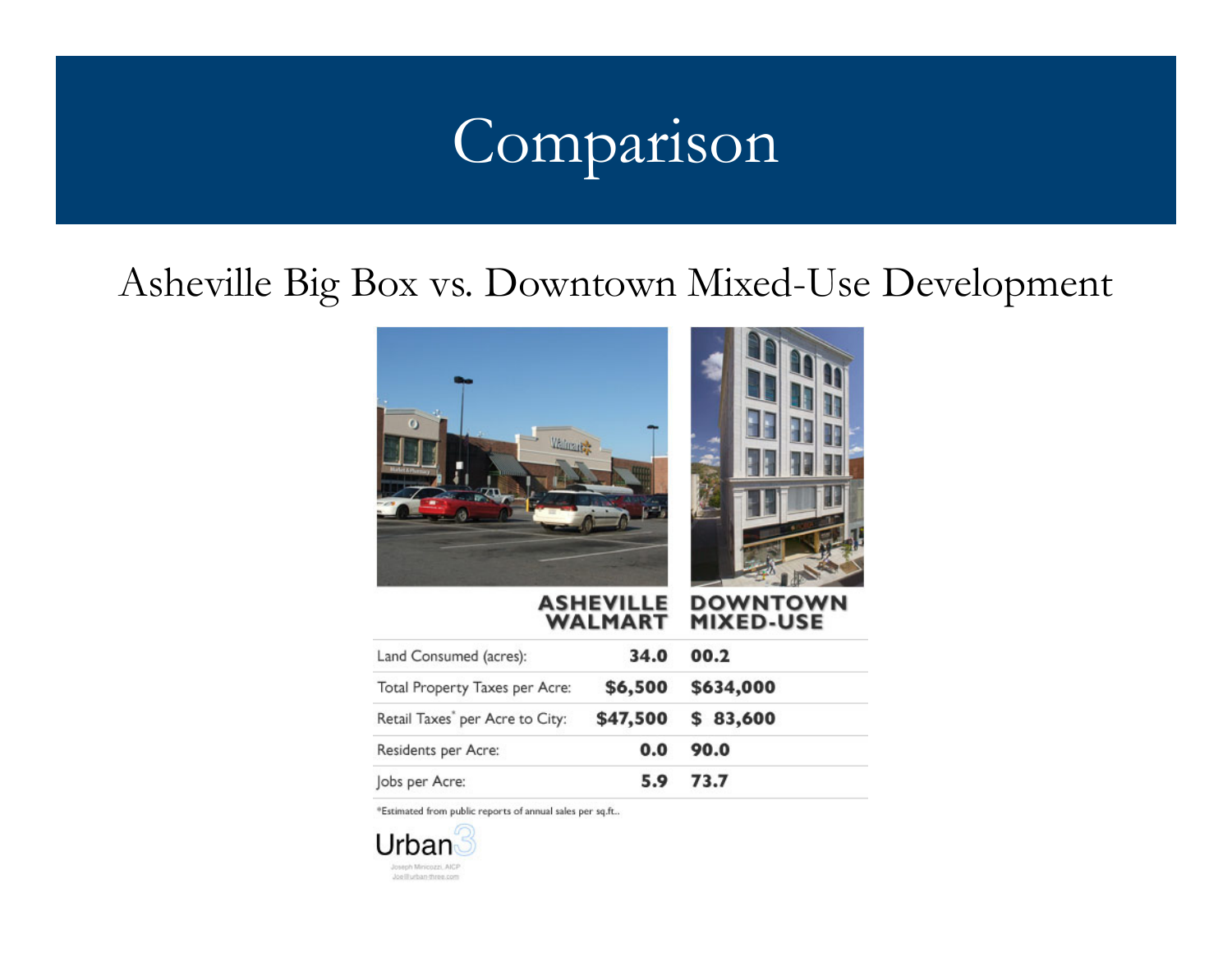## Comparison

#### Asheville Big Box vs. Downtown Mixed-Use Development



| Land Consumed (acres):                      | 34.0     | 00.2      |
|---------------------------------------------|----------|-----------|
| Total Property Taxes per Acre:              | \$6,500  | \$634,000 |
| Retail Taxes <sup>*</sup> per Acre to City: | \$47,500 | \$83,600  |
| Residents per Acre:                         | 0.0      | 90.0      |
| Jobs per Acre:                              | 5.9      | 73.7      |

**WALMART** 

\*Estimated from public reports of annual sales per sq.ft..

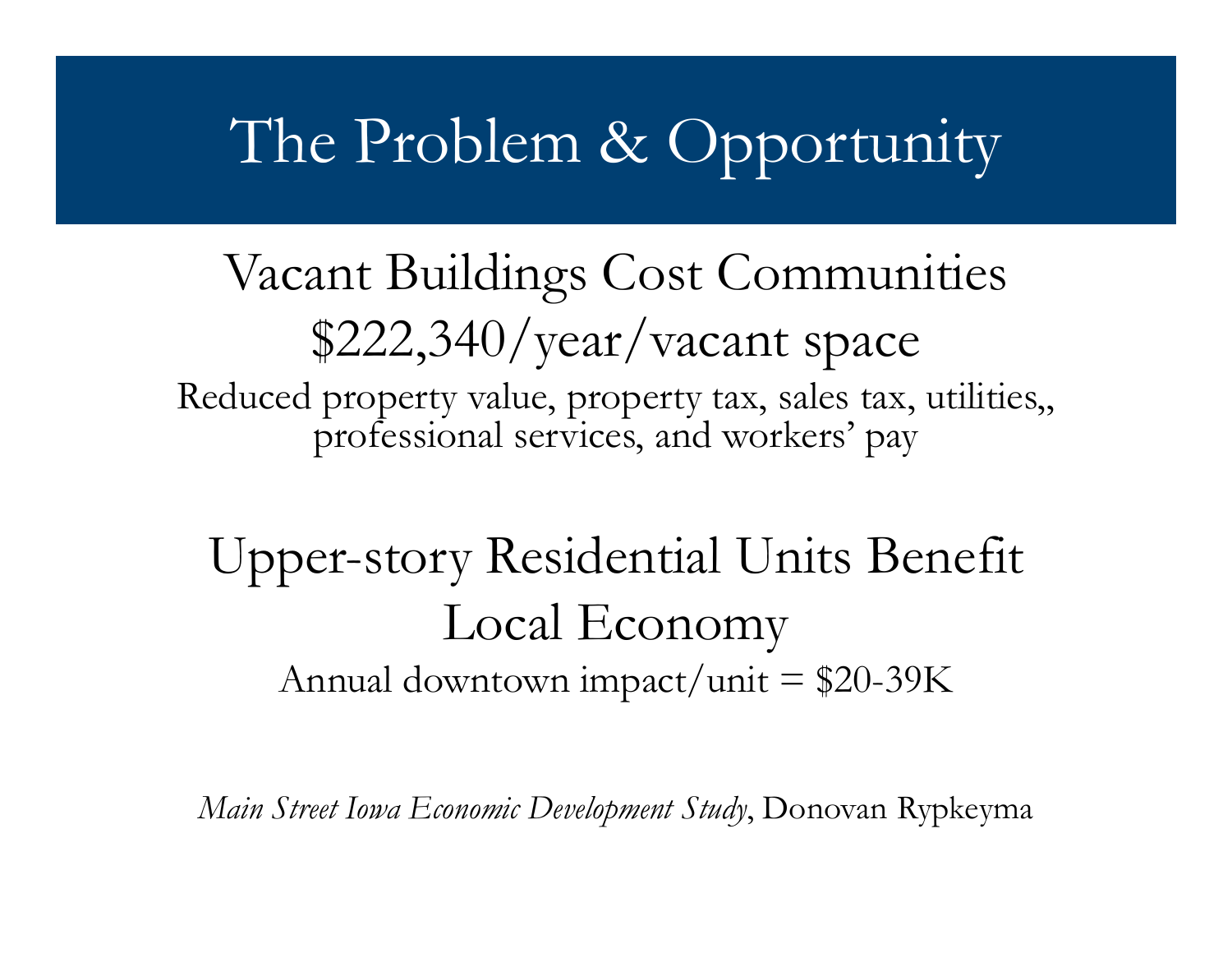#### The Problem & Opportunity

Vacant Buildings Cost Communities\$222,340/year/vacant space Reduced property value, property tax, sales tax, utilities,, professional services, and workers' pay

#### Upper-story Residential Units Benefit Local EconomyAnnual downtown impact/unit = \$20-39K

Main Street Iowa Economic Development Study, Donovan Rypkeyma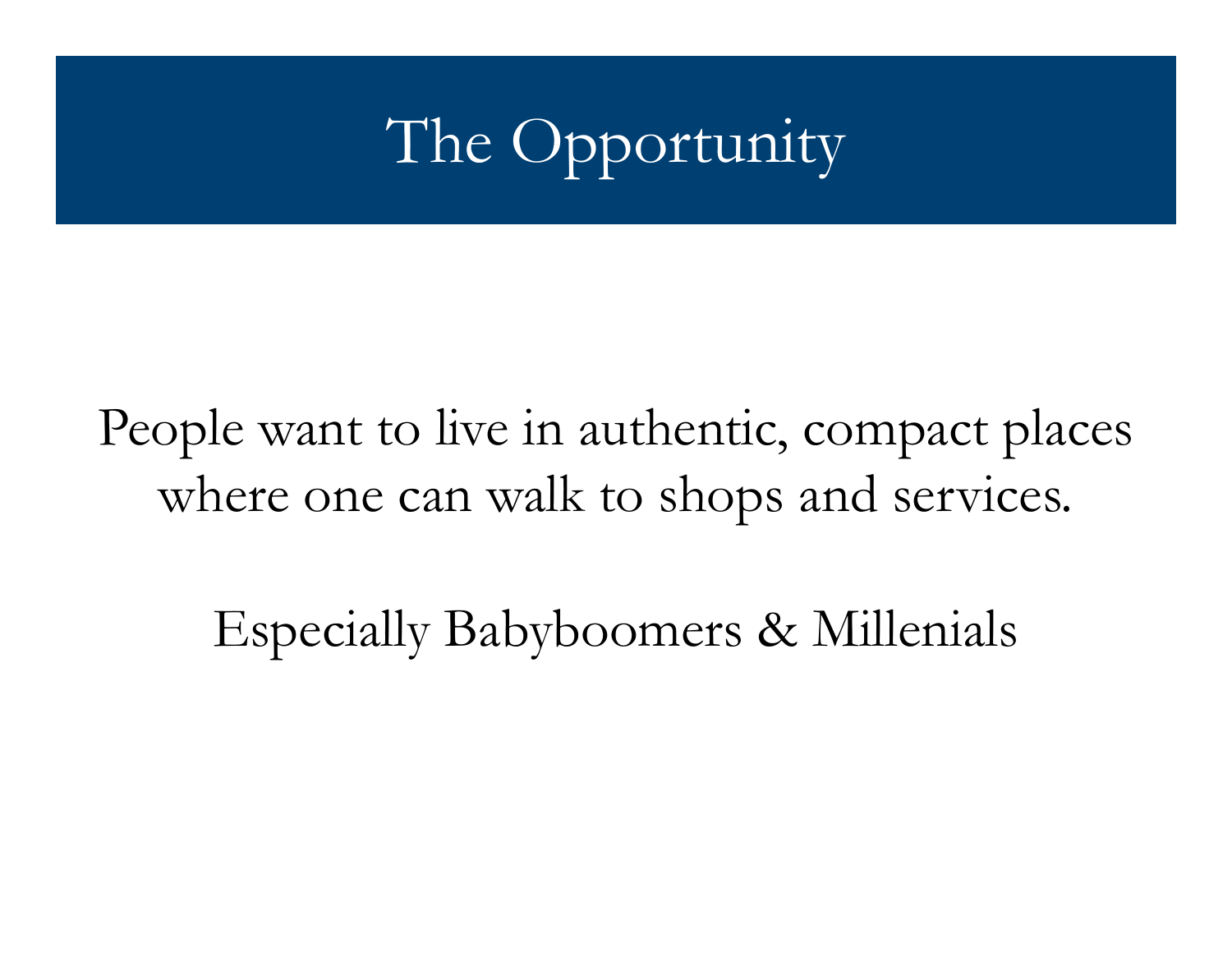## The Opportunity

People want to live in authentic, compact places where one can walk to shops and services.

Especially Babyboomers & Millenials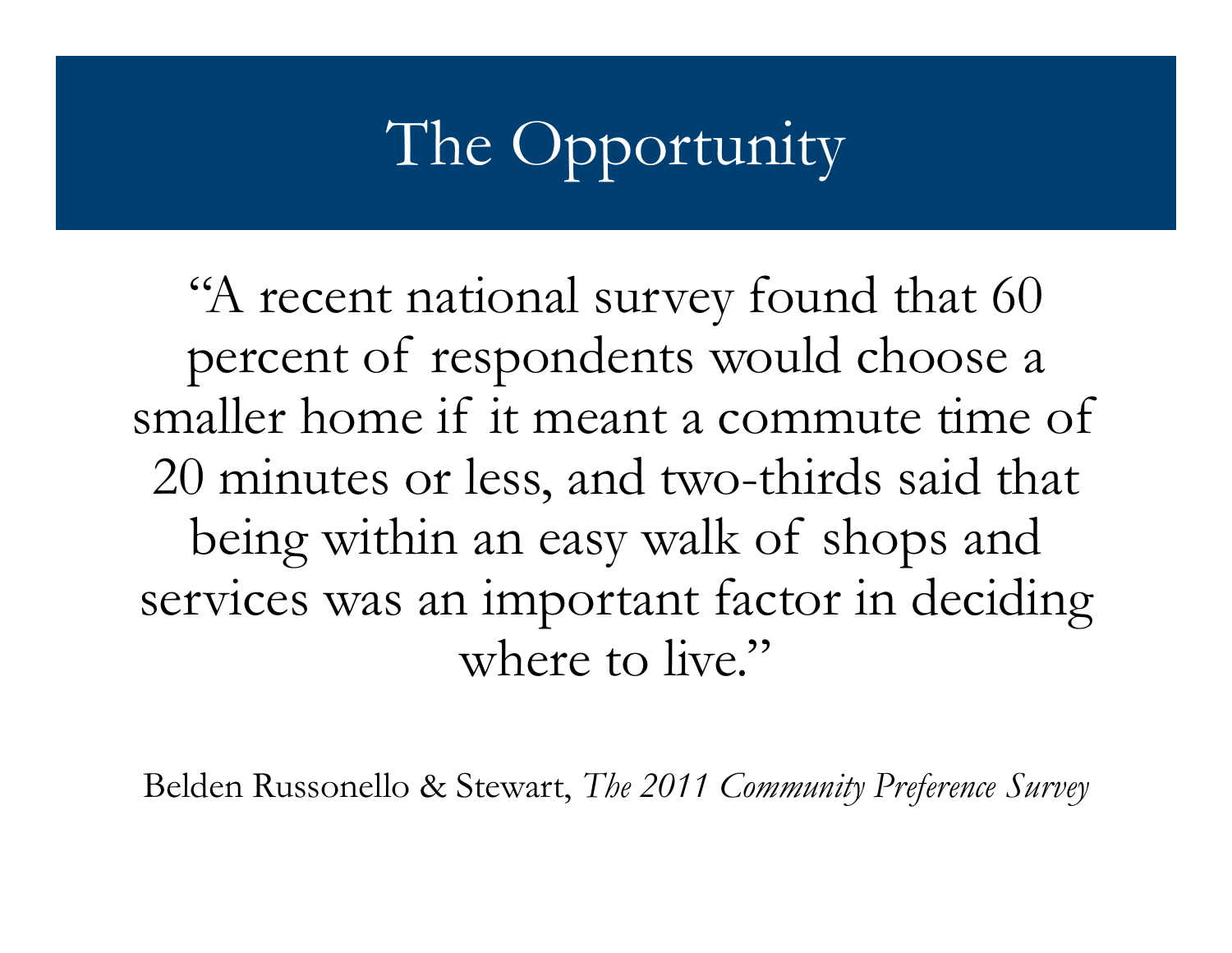## The Opportunity

"A recent national survey found that 60 percent o<sup>f</sup> respondents would choose a smaller home if it meant a commute time of 20 minutes or less, and two-thirds said that being within an easy walk of shops and services was an important factor in deciding where to live."

Belden Russonello & Stewart, The 2011 Community Preference Survey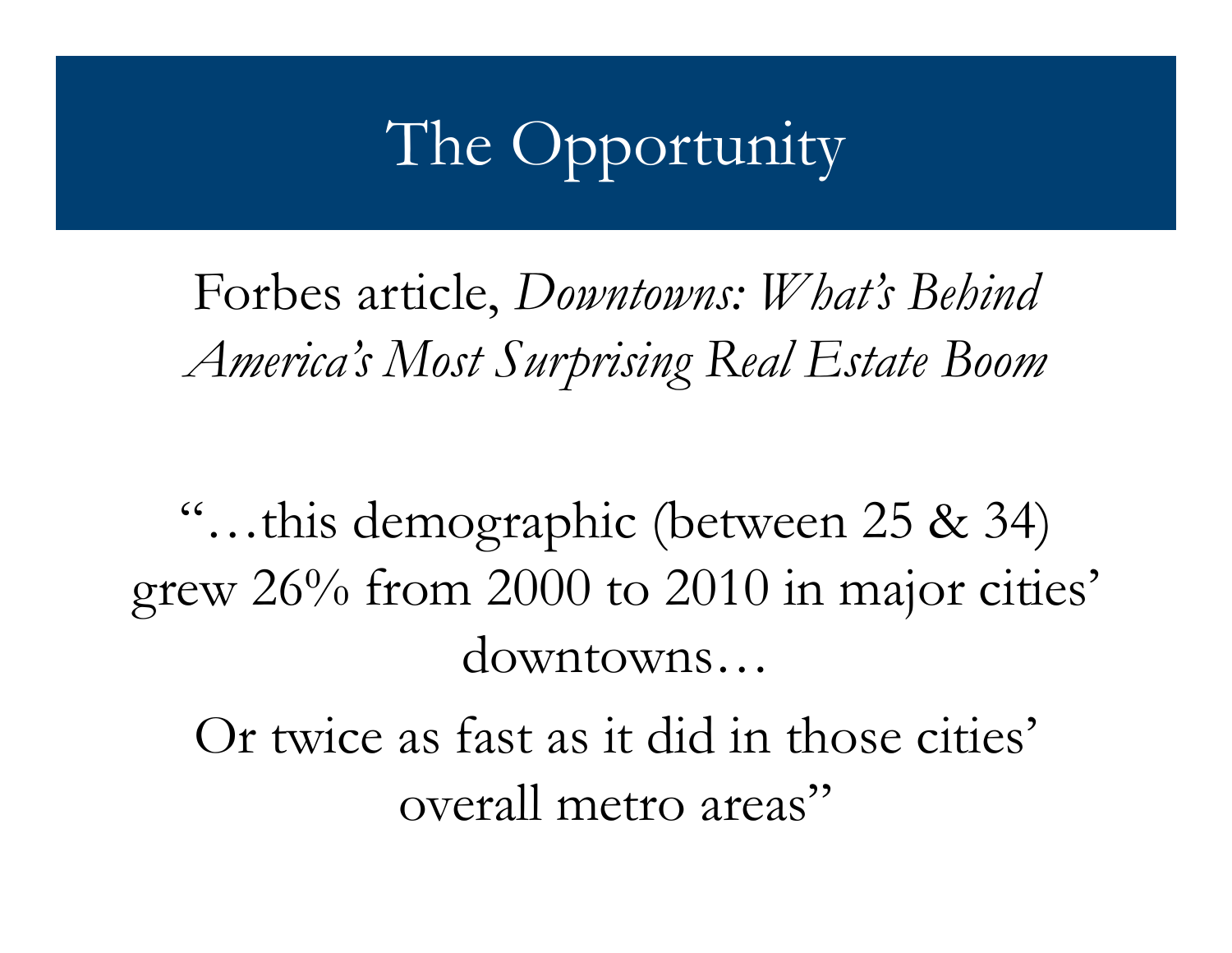### The Opportunity

Forbes article, Downtowns: What's Behind America's Most Surprising Real Estate Boom

"…this demographic (between 25 & 34) grew 26% from 2000 to 2010 in major cities' downtowns…

 Or twice as fast as it did in those cities' overall metro areas"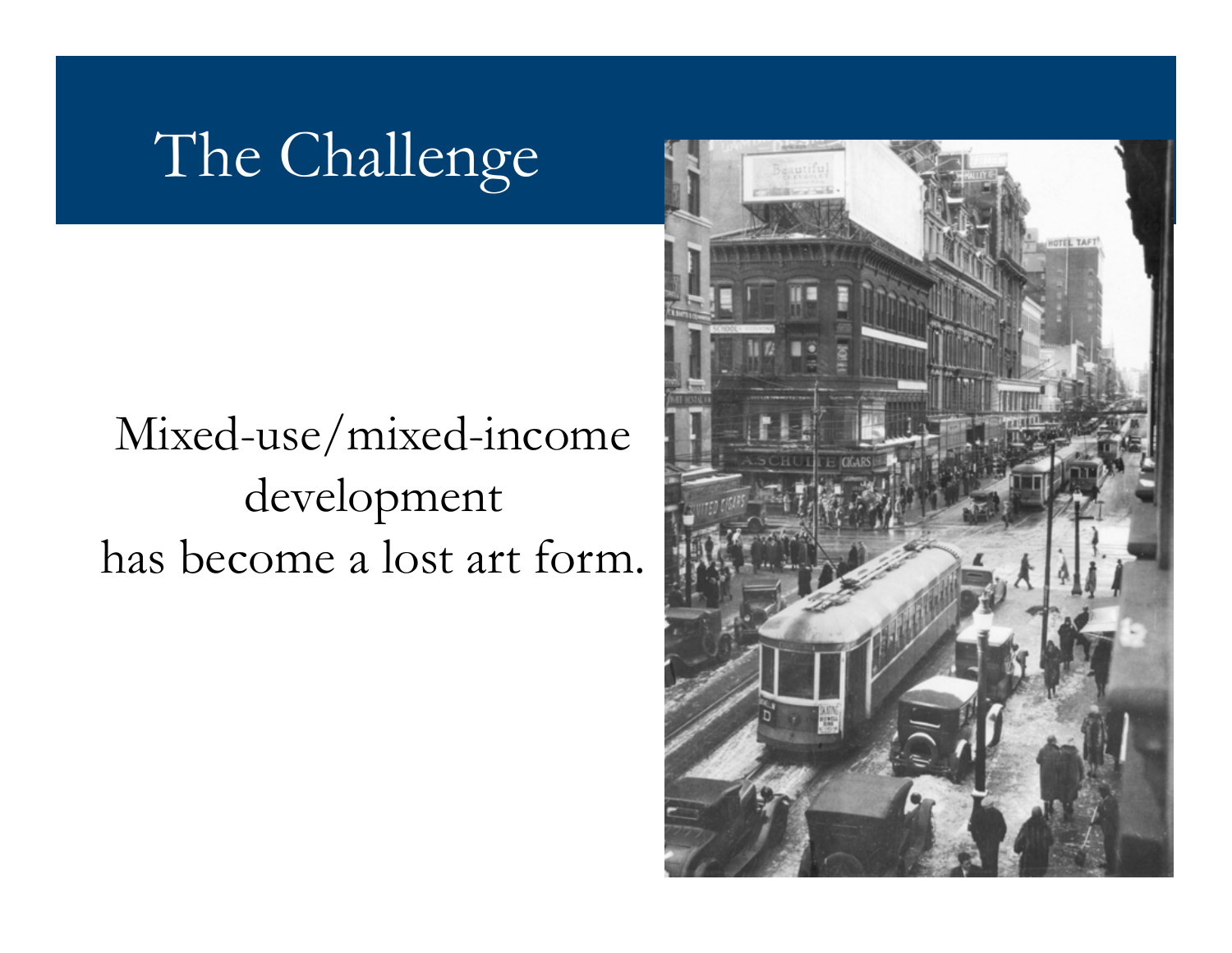## The Challenge

#### Mixed-use/mixed-income development has become a lost art form.

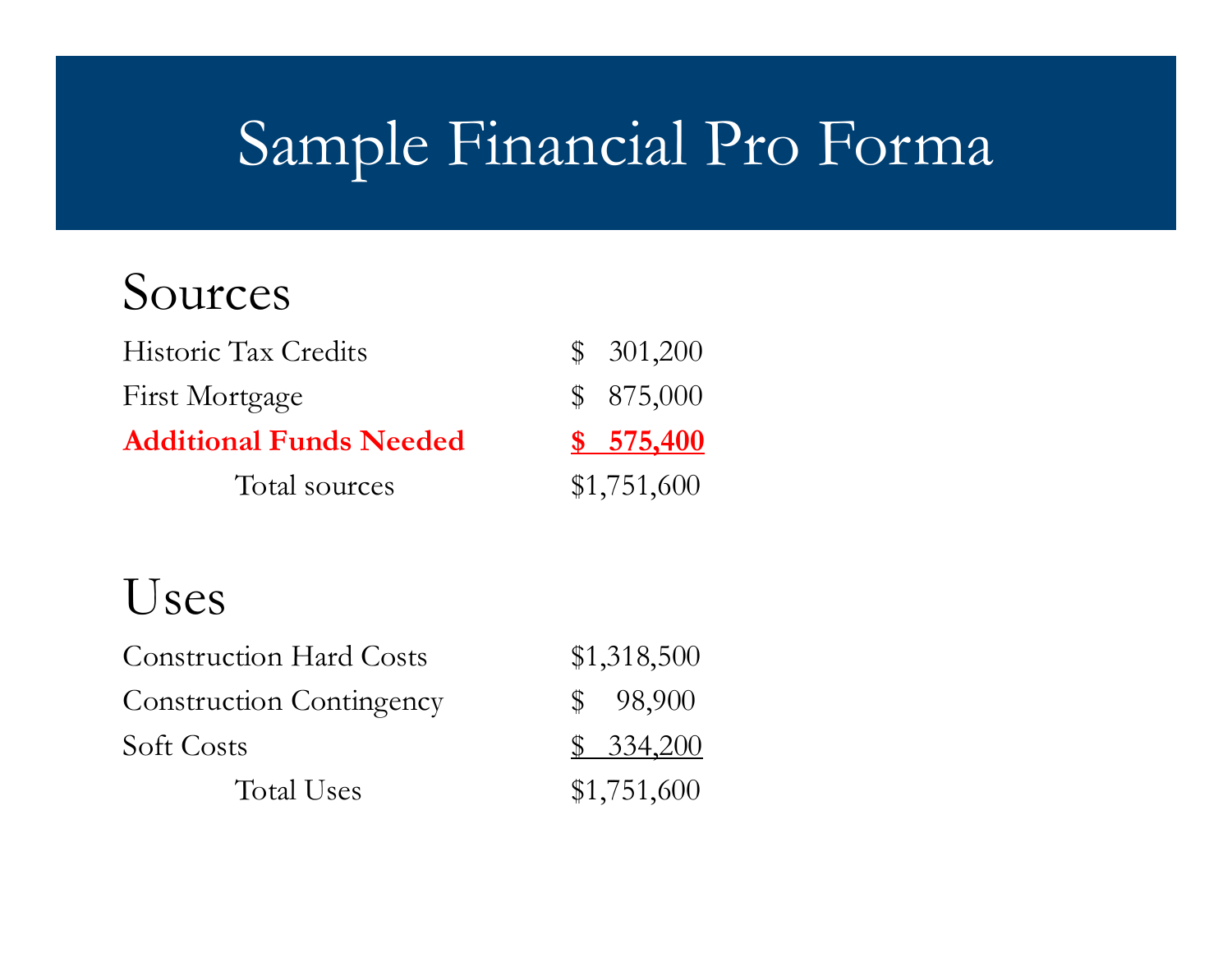## Sample Financial Pro Forma

#### Sources

| Historic Tax Credits           | \$301,200   |
|--------------------------------|-------------|
| First Mortgage                 | \$875,000   |
| <b>Additional Funds Needed</b> | \$575,400   |
| Total sources                  | \$1,751,600 |

#### Uses

| <b>Construction Hard Costs</b>  | \$1,318,500 |  |
|---------------------------------|-------------|--|
| <b>Construction Contingency</b> | \$98,900    |  |
| Soft Costs                      | \$334,200   |  |
| Total Uses                      | \$1,751,600 |  |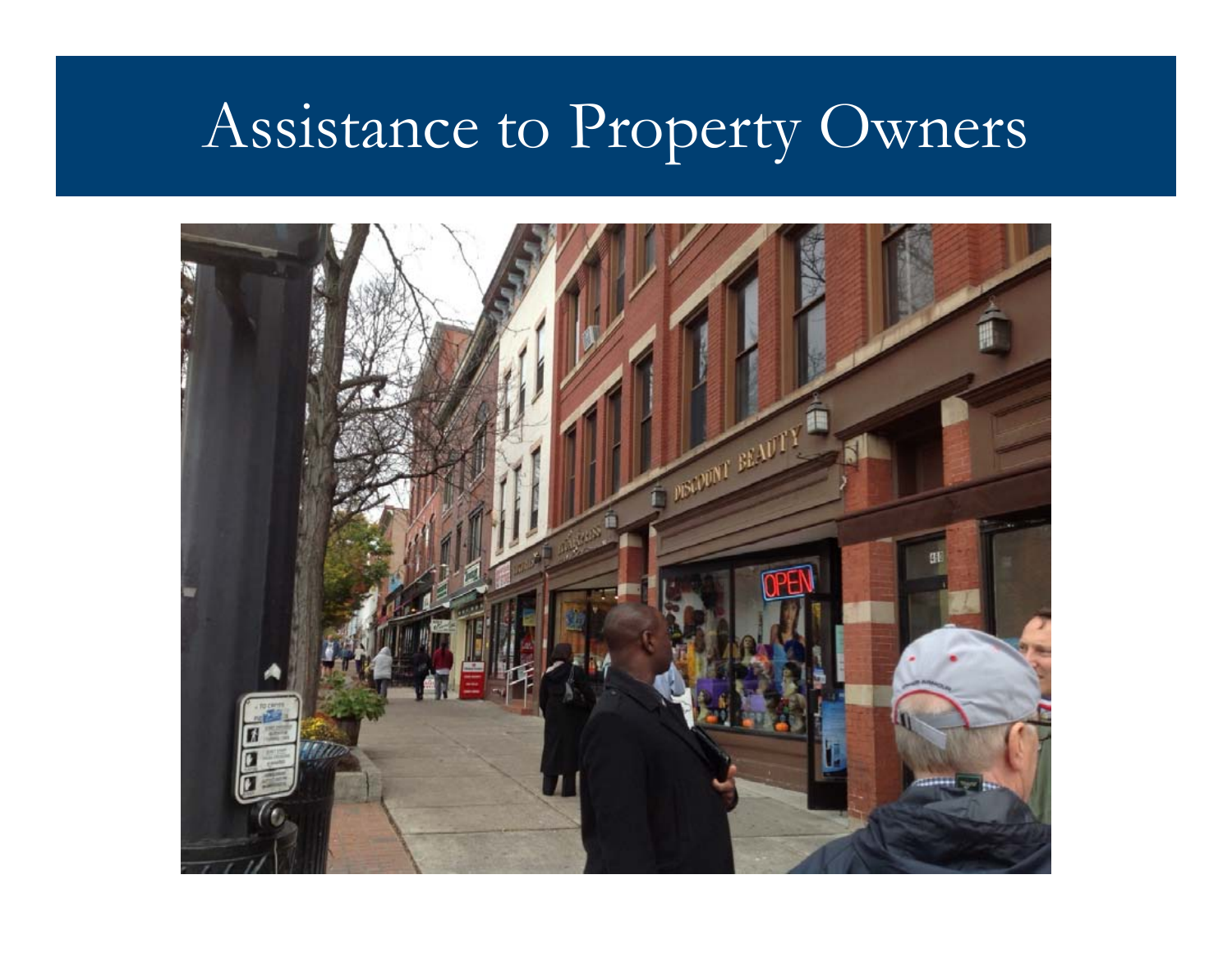## Assistance to Property Owners

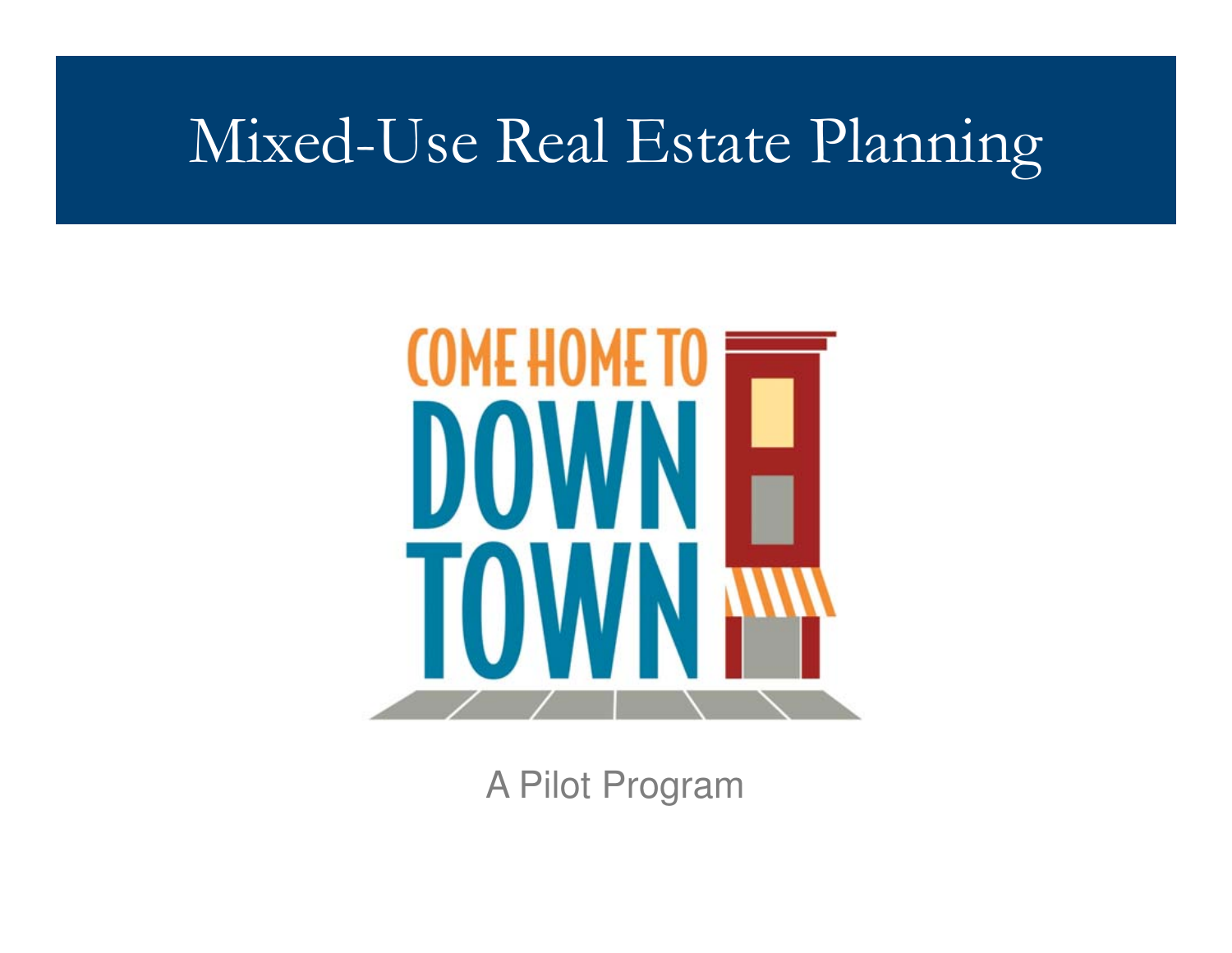### Mixed-Use Real Estate Planning



A Pilot Program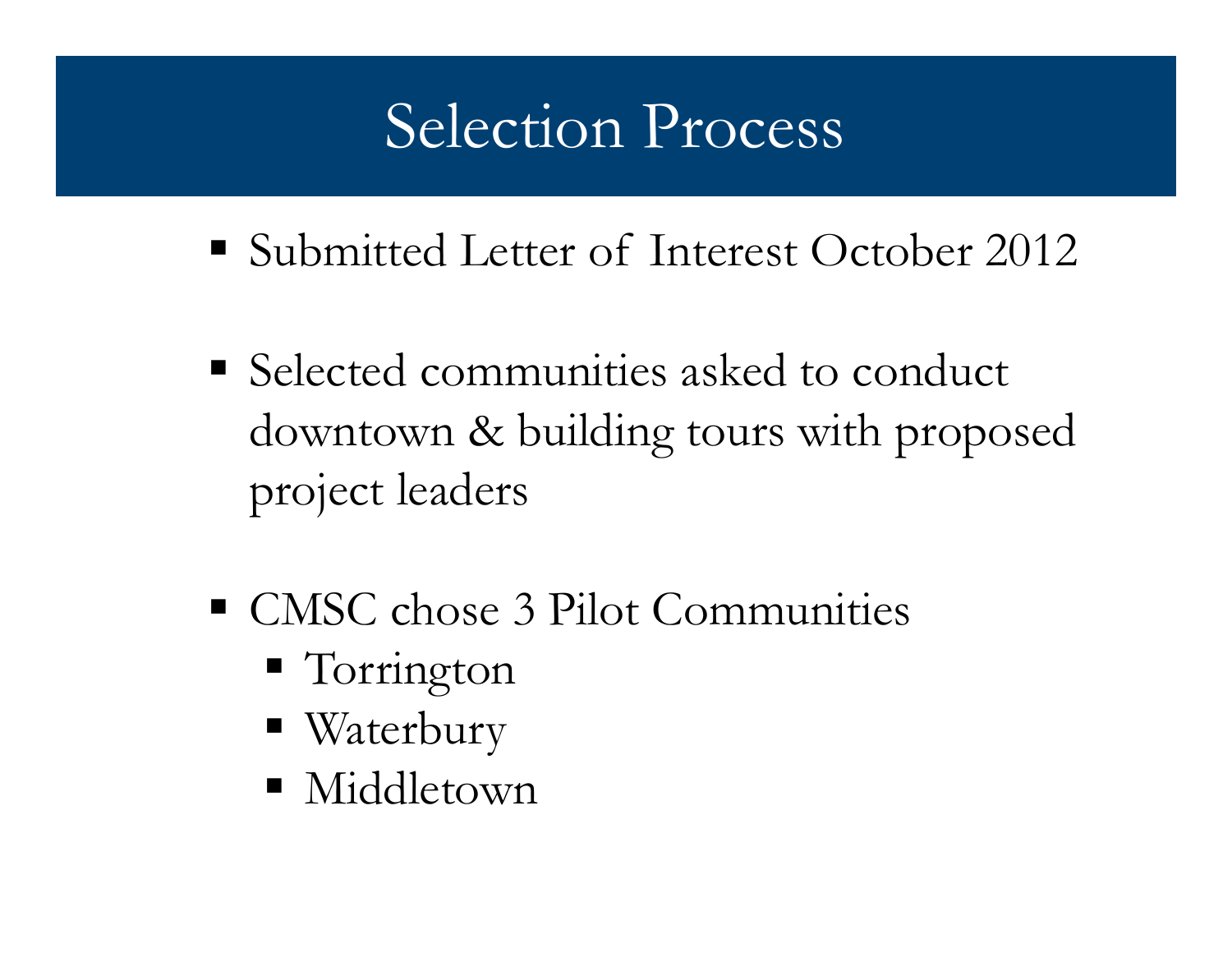## Selection Process

- Submitted Letter of Interest October 2012
- **Selected communities asked to conduct** downtown & building tours with proposed project leaders
- CMSC chose 3 Pilot Communities
	- Torrington
	- Waterbury
	- Middletown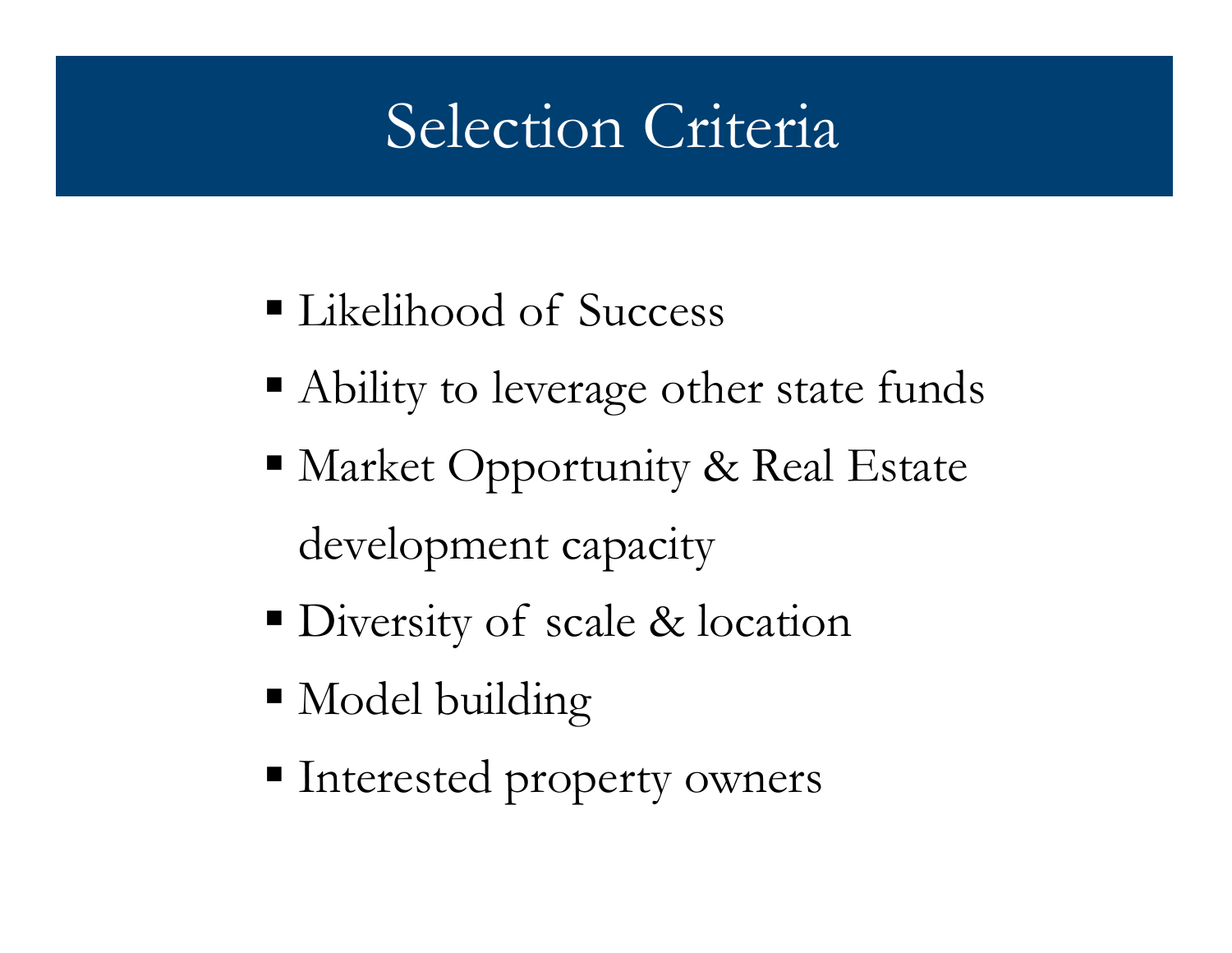## Selection Criteria

- Likelihood of Success
- Ability to leverage other state funds
- Market Opportunity & Real Estate development capacity
- Diversity of scale & location
- Model building
- Interested property owners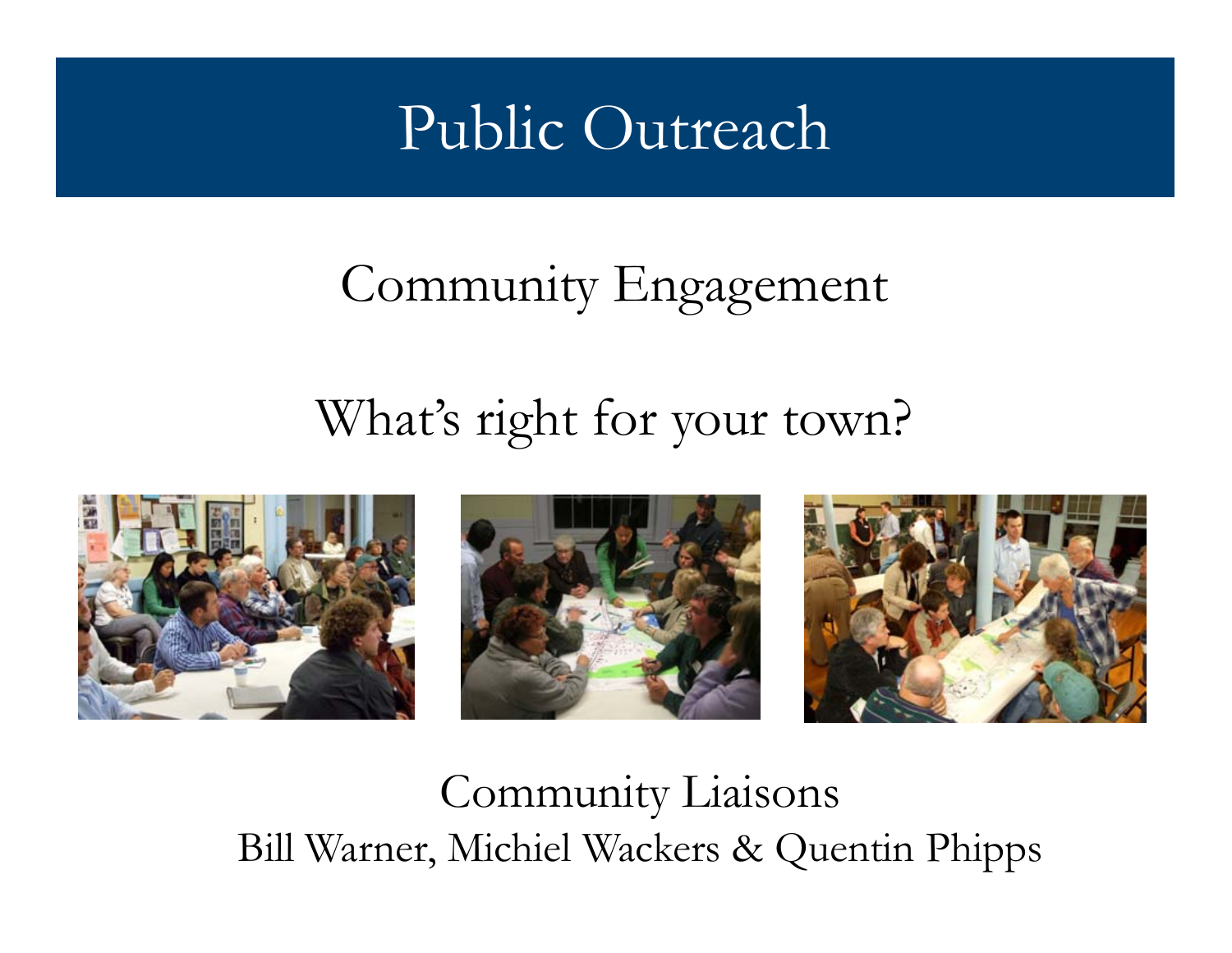### Public Outreach

#### Community Engagement

#### What's right for your town?







#### Community Liaisons Bill Warner, Michiel Wackers & Quentin Phipps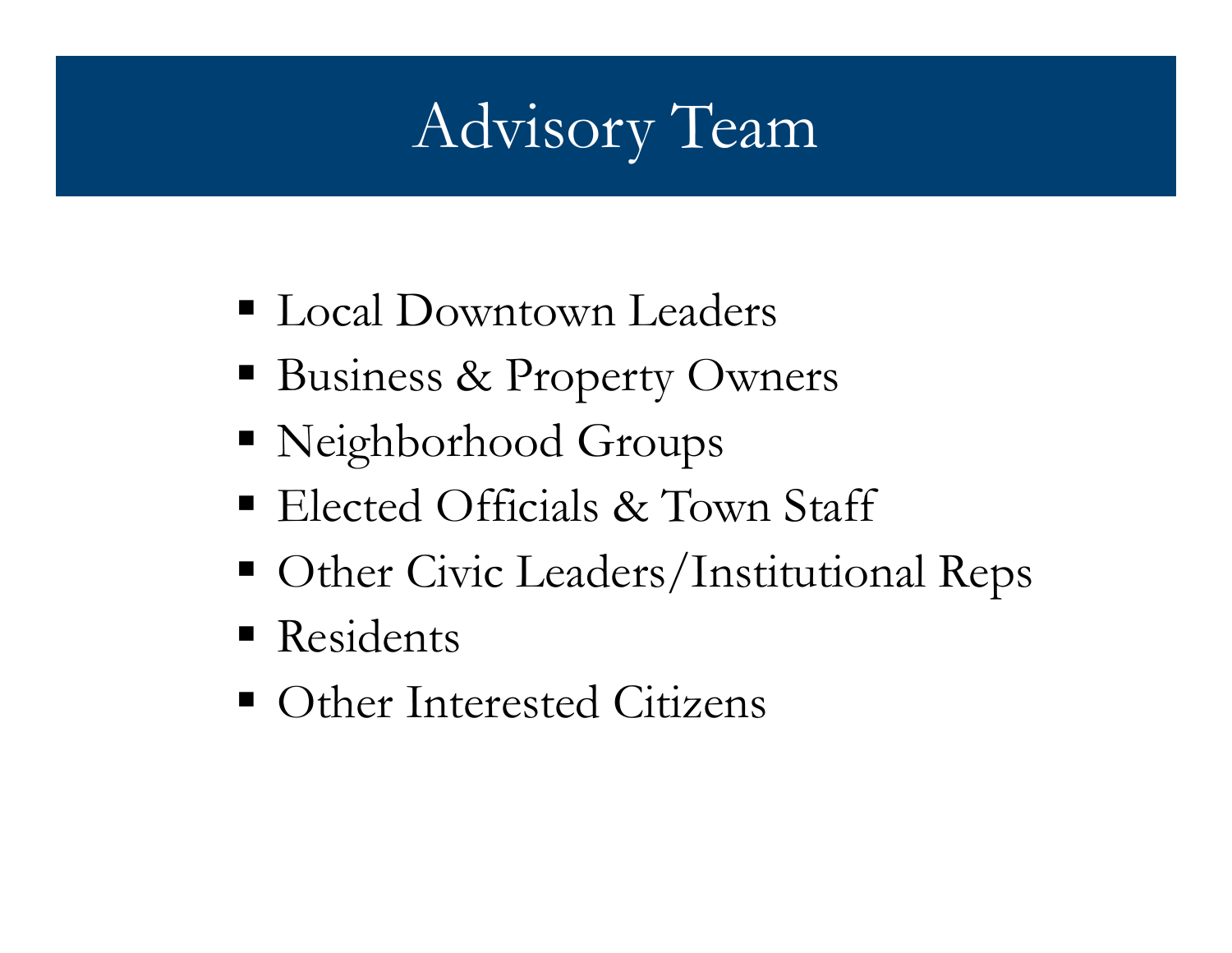## Advisory Team

- Local Downtown Leaders
- Business & Property Owners
- Neighborhood Groups
- Elected Officials & Town Staff
- Other Civic Leaders/Institutional Reps
- **Residents**
- Other Interested Citizens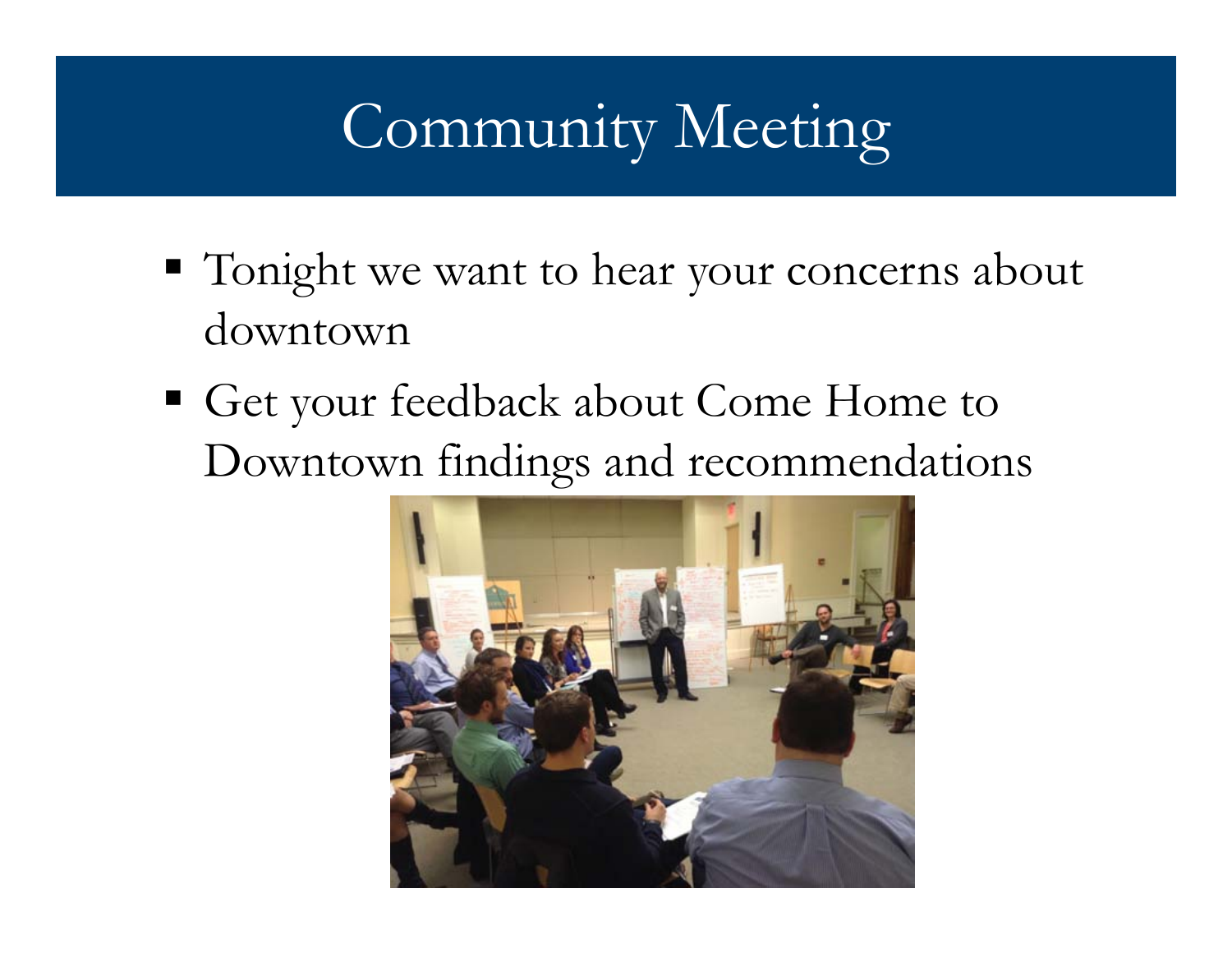#### ITULLILLY TVI Community Meeting

- Tonight we want to hear your concerns about downtown
- Get your feedback about Come Home to Downtown findings and recommendations

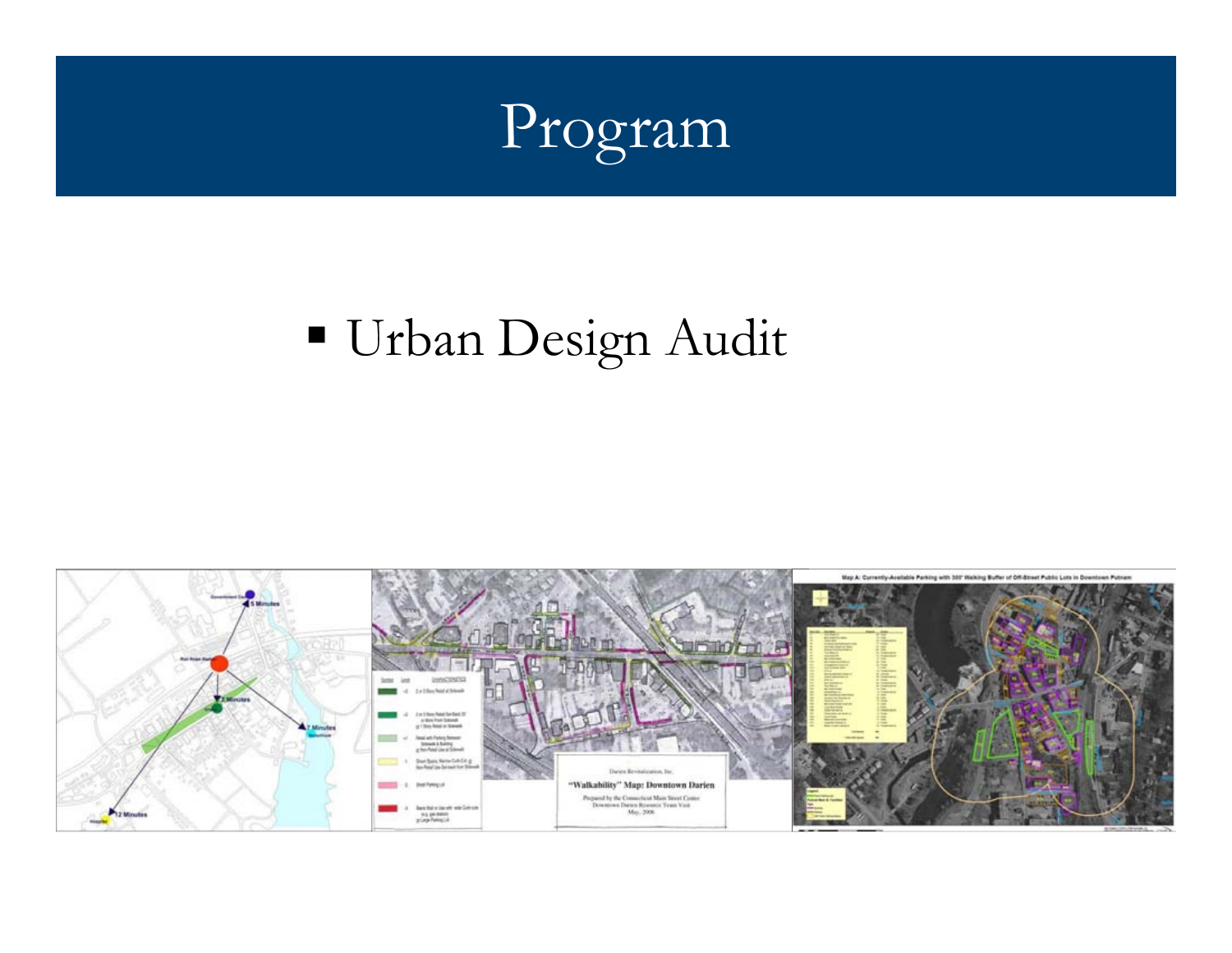

## Urban Design Audit

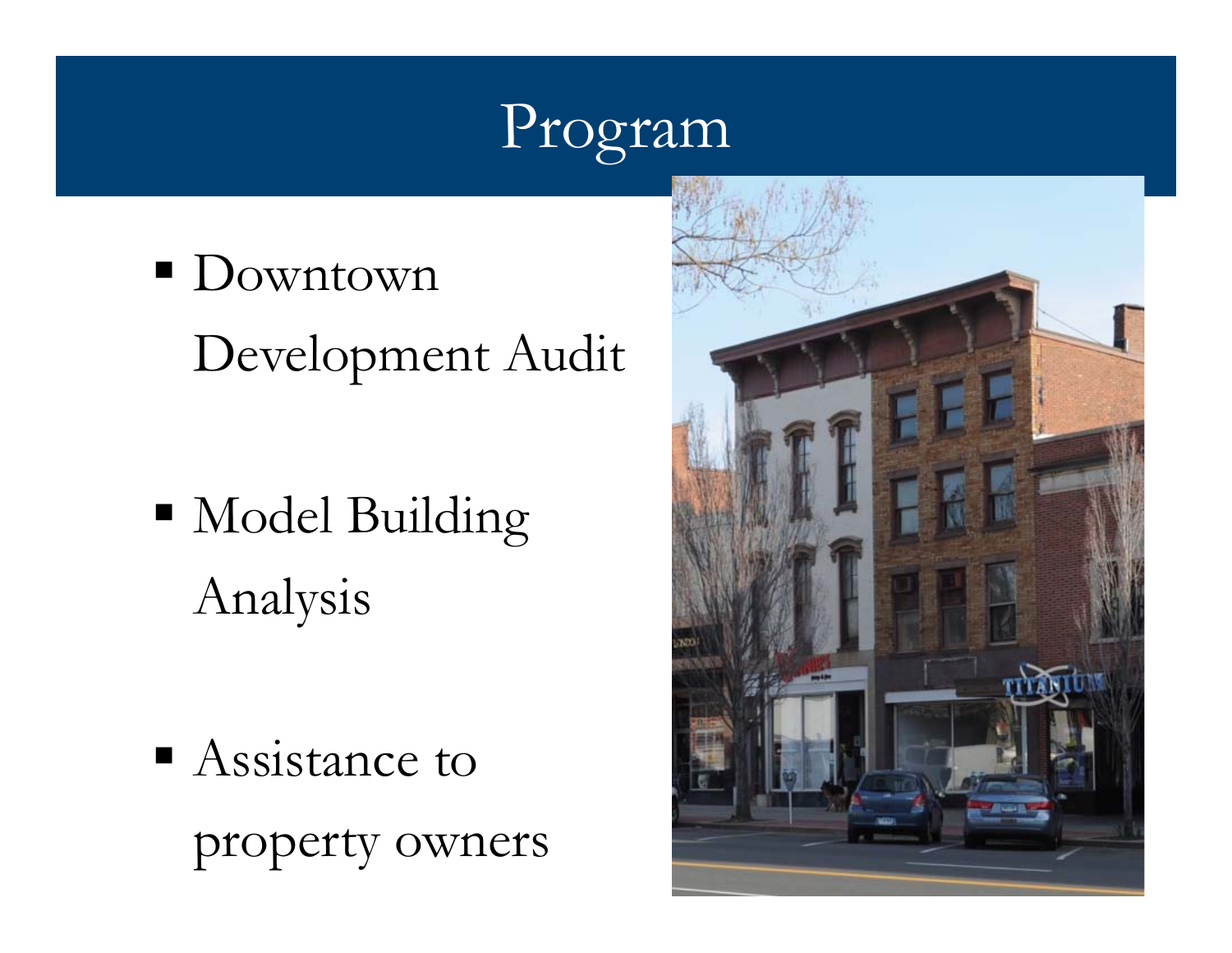## Program

- Downtown Development Audit
- Model Building Analysis

■ Assistance to property owners

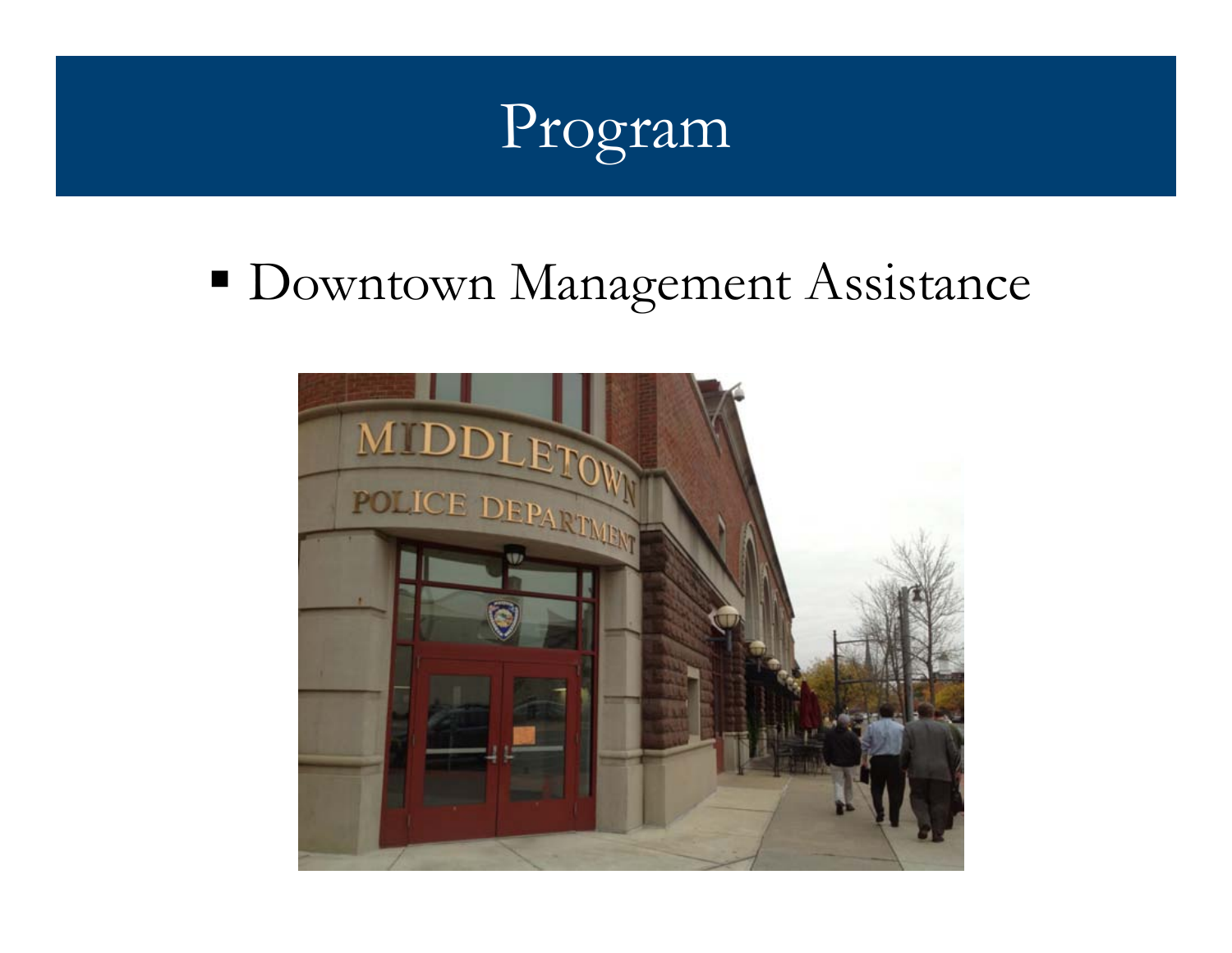

## **• Downtown Management Assistance**

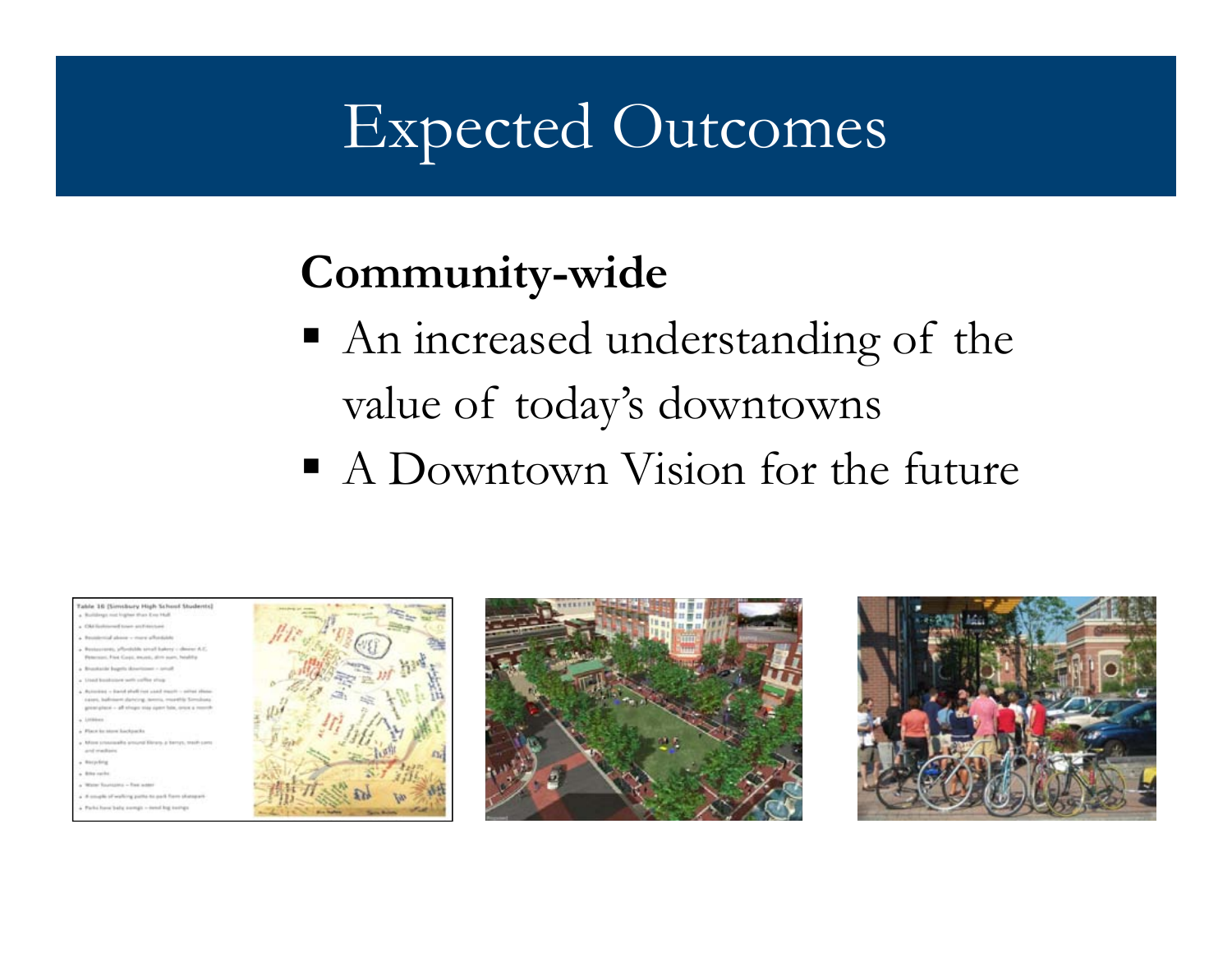### Expected Outcomes

#### Community-wide

- An increased understanding of the value of today's downtowns
- A Downtown Vision for the future





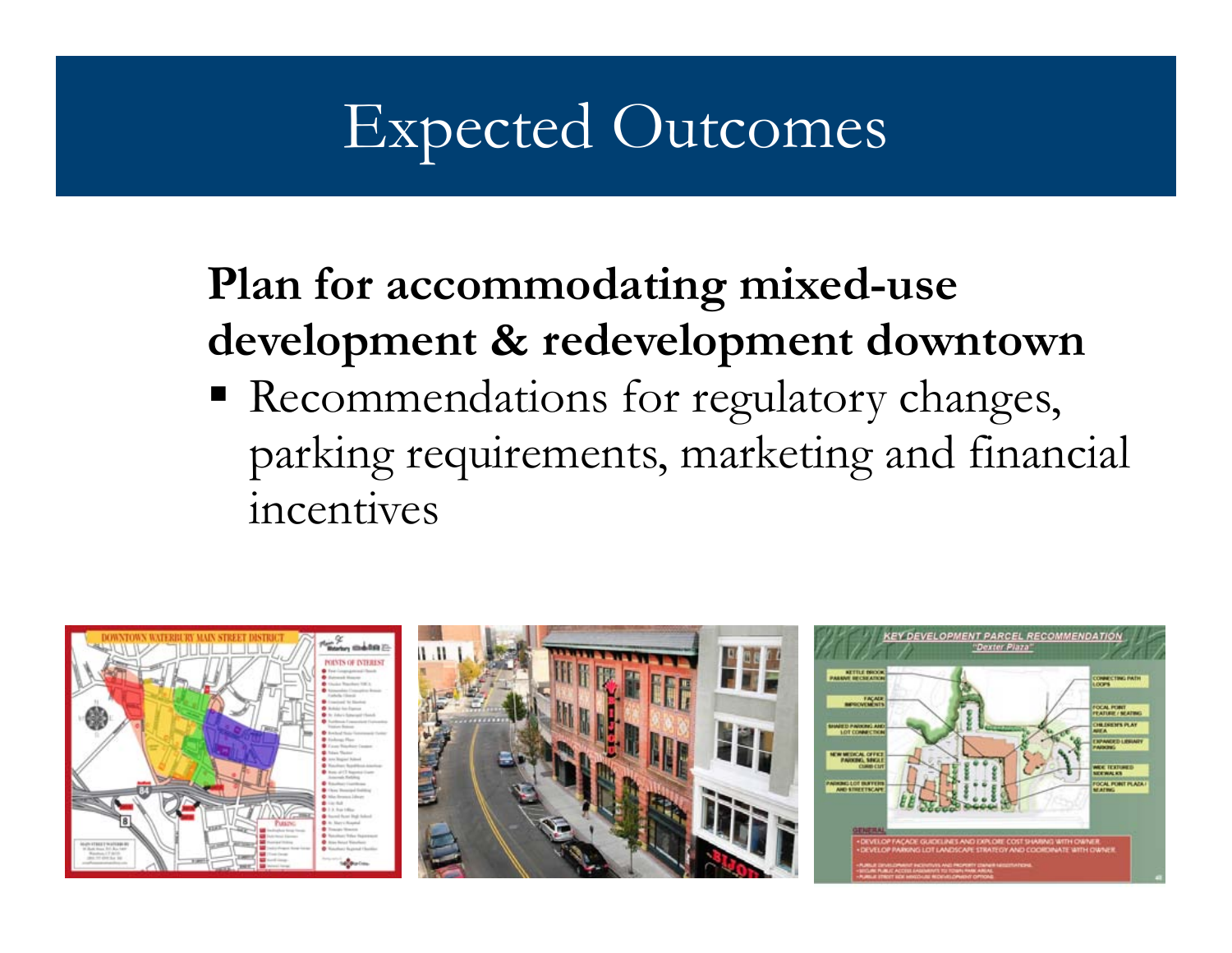## Expected Outcomes

#### Plan for accommodating mixed-use development & redevelopment downtown

 Recommendations for regulatory changes, parking requirements, marketing and financial incentives

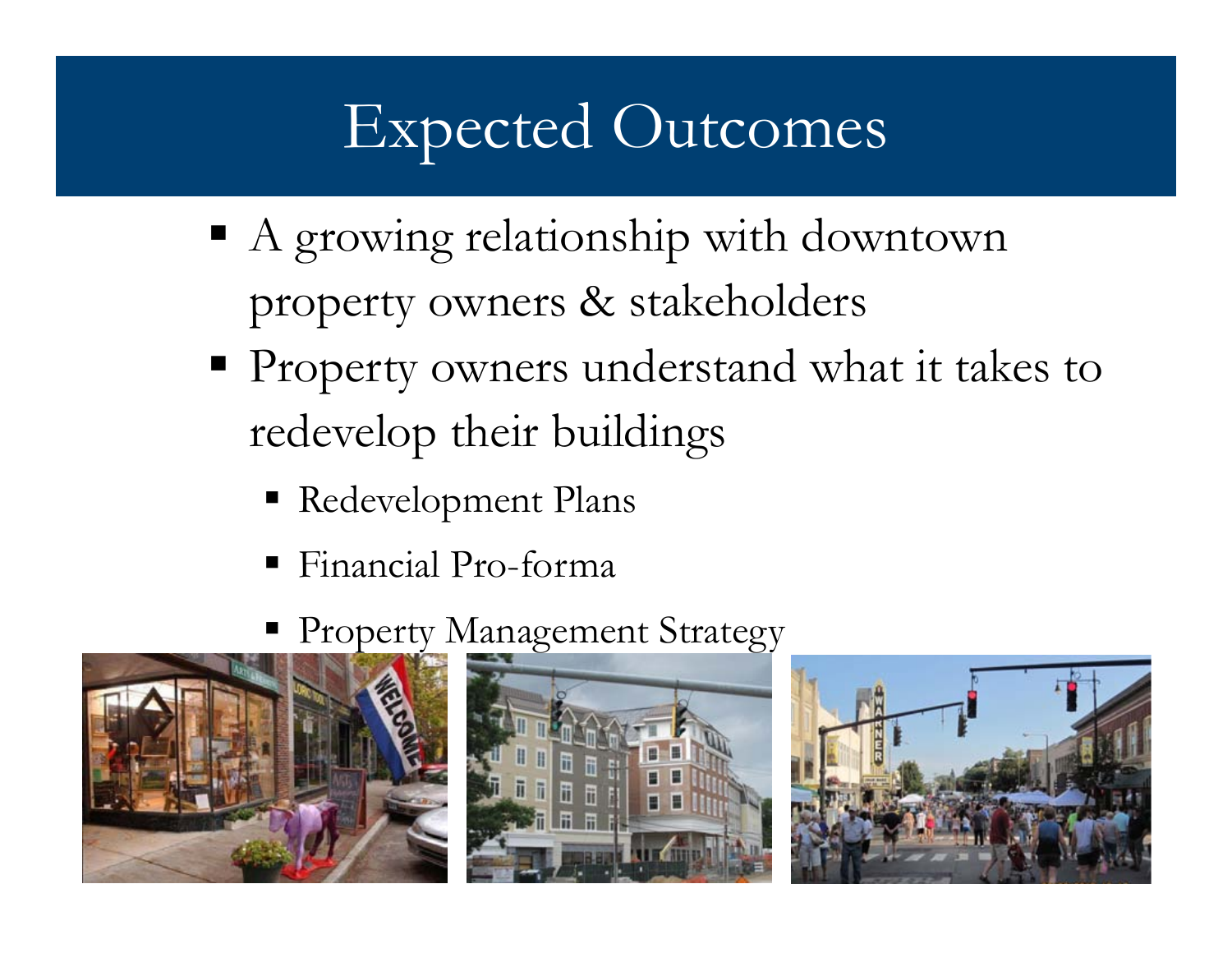## Expected Outcomes

- A growing relationship with downtown property owners & stakeholders
- **Property owners understand what it takes to** redevelop their buildings
	- Redevelopment Plans
	- Financial Pro-forma
	- **Property Management Strategy**





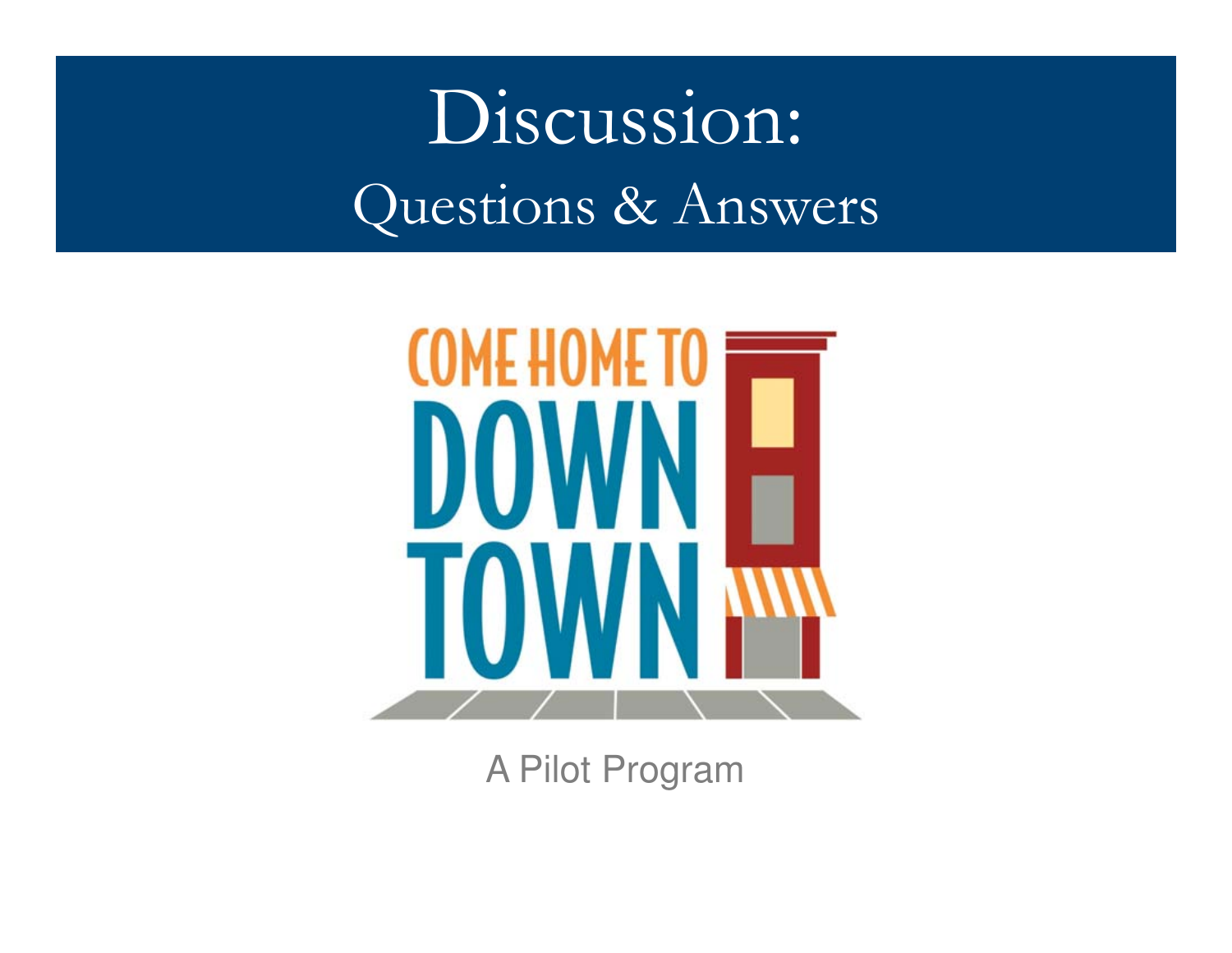# Discussion:Questions & Answers



A Pilot Program